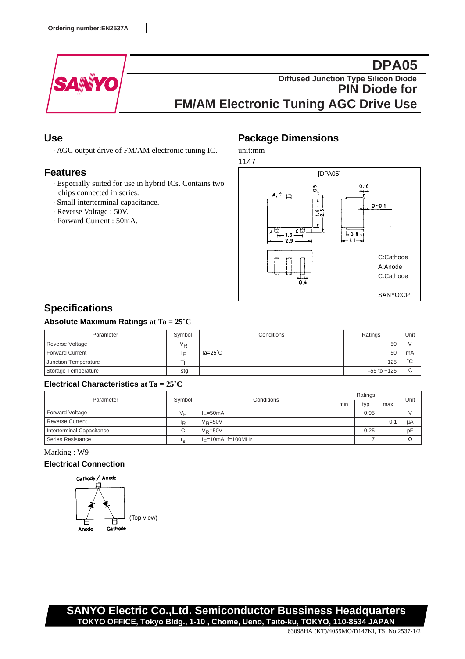

# **DPA05 Diffused Junction Type Silicon Diode PIN Diode for FM/AM Electronic Tuning AGC Drive Use**

### **Use**

· AGC output drive of FM/AM electronic tuning IC.

### **Features**

- · Especially suited for use in hybrid ICs. Contains two chips connected in series.
- · Small interterminal capacitance.
- · Reverse Voltage : 50V.
- · Forward Current : 50mA.

## **Package Dimensions**

unit:mm



# **Specifications**

### **Absolute Maximum Ratings at Ta = 25˚C**

| Parameter              | Symbol  | Conditions         | Ratings         | Unit      |
|------------------------|---------|--------------------|-----------------|-----------|
| Reverse Voltage        | $V_{R}$ |                    | 50              |           |
| <b>Forward Current</b> | lΕ      | Ta= $25^{\circ}$ C | 50              | mA        |
| Junction Temperature   |         |                    | 125             | °С        |
| Storage Temperature    | Tstg    |                    | $-55$ to $+125$ | $\hat{ }$ |

#### **Electrical Characteristics at Ta = 25˚C**

| Parameter                 | Symbol         | Conditions            | Ratings |      |     | Unit |
|---------------------------|----------------|-----------------------|---------|------|-----|------|
|                           |                |                       | min     | typ  | max |      |
| Forward Voltage           | V⊏             | $I = 50mA$            |         | 0.95 |     |      |
| <b>Reverse Current</b>    | <sup>I</sup> R | $V_R = 50V$           |         |      | 0.1 | μA   |
| Interterminal Capacitance | $\sim$<br>◡    | $V_P = 50V$           |         | 0.25 |     | pF   |
| Series Resistance         | I ۾            | $I_F=10mA$ , f=100MHz |         |      |     | Ω    |

Marking : W9

#### **Electrical Connection**



**SANYO Electric Co.,Ltd. Semiconductor Bussiness Headquarters TOKYO OFFICE, Tokyo Bldg., 1-10 , Chome, Ueno, Taito-ku, TOKYO, 110-8534 JAPAN**